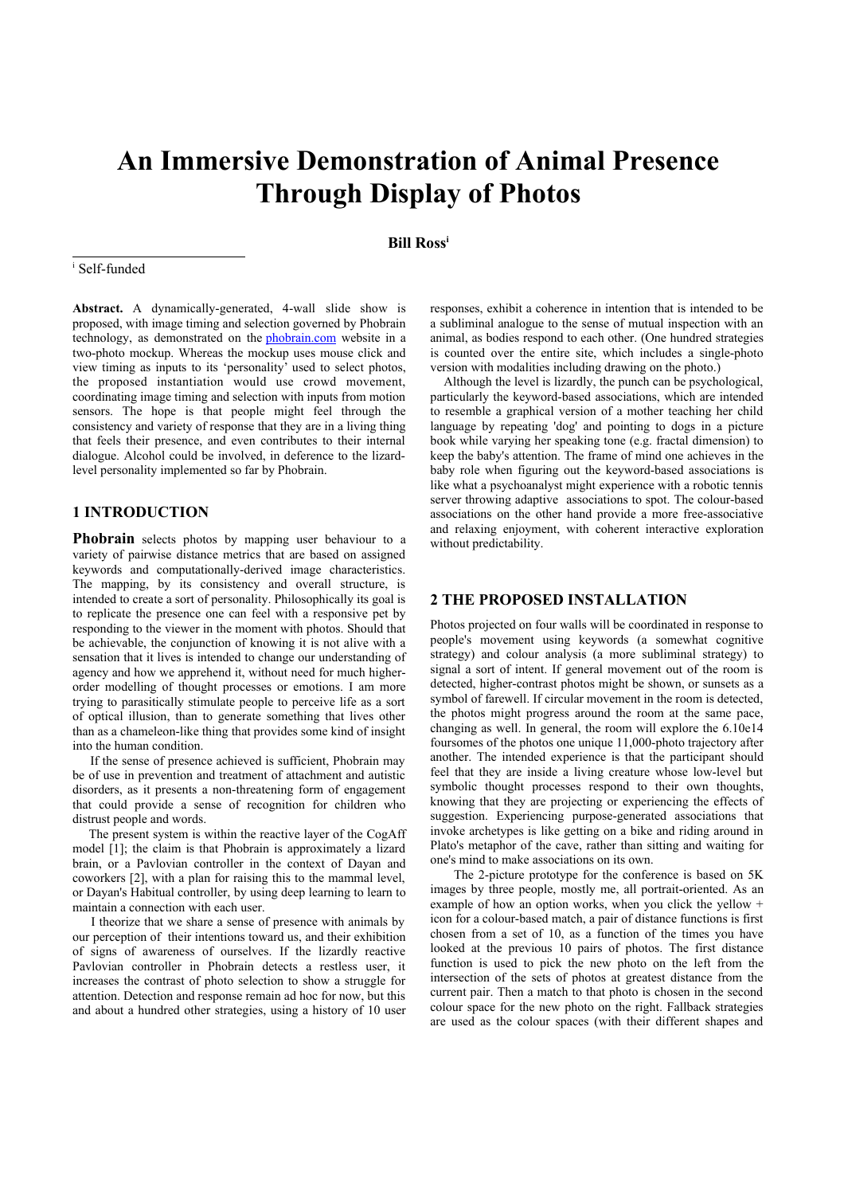# **An Immersive Demonstration of Animal Presence Through Display of Photos**

# **Bill Ross[i](#page-0-0)**

#### <span id="page-0-0"></span>i Self-funded

**Abstract.** A dynamically-generated, 4-wall slide show is proposed, with image timing and selection governed by Phobrain technology, as demonstrated on the [phobrain.com](http://phobrain.com/) website in a two-photo mockup. Whereas the mockup uses mouse click and view timing as inputs to its 'personality' used to select photos, the proposed instantiation would use crowd movement, coordinating image timing and selection with inputs from motion sensors. The hope is that people might feel through the consistency and variety of response that they are in a living thing that feels their presence, and even contributes to their internal dialogue. Alcohol could be involved, in deference to the lizardlevel personality implemented so far by Phobrain.

## **1 INTRODUCTION**

**Phobrain** selects photos by mapping user behaviour to a variety of pairwise distance metrics that are based on assigned keywords and computationally-derived image characteristics. The mapping, by its consistency and overall structure, is intended to create a sort of personality. Philosophically its goal is to replicate the presence one can feel with a responsive pet by responding to the viewer in the moment with photos. Should that be achievable, the conjunction of knowing it is not alive with a sensation that it lives is intended to change our understanding of agency and how we apprehend it, without need for much higherorder modelling of thought processes or emotions. I am more trying to parasitically stimulate people to perceive life as a sort of optical illusion, than to generate something that lives other than as a chameleon-like thing that provides some kind of insight into the human condition.

 If the sense of presence achieved is sufficient, Phobrain may be of use in prevention and treatment of attachment and autistic disorders, as it presents a non-threatening form of engagement that could provide a sense of recognition for children who distrust people and words.

 The present system is within the reactive layer of the CogAff model [1]; the claim is that Phobrain is approximately a lizard brain, or a Pavlovian controller in the context of Dayan and coworkers [2], with a plan for raising this to the mammal level, or Dayan's Habitual controller, by using deep learning to learn to maintain a connection with each user.

 I theorize that we share a sense of presence with animals by our perception of their intentions toward us, and their exhibition of signs of awareness of ourselves. If the lizardly reactive Pavlovian controller in Phobrain detects a restless user, it increases the contrast of photo selection to show a struggle for attention. Detection and response remain ad hoc for now, but this and about a hundred other strategies, using a history of 10 user responses, exhibit a coherence in intention that is intended to be a subliminal analogue to the sense of mutual inspection with an animal, as bodies respond to each other. (One hundred strategies is counted over the entire site, which includes a single-photo version with modalities including drawing on the photo.)

 Although the level is lizardly, the punch can be psychological, particularly the keyword-based associations, which are intended to resemble a graphical version of a mother teaching her child language by repeating 'dog' and pointing to dogs in a picture book while varying her speaking tone (e.g. fractal dimension) to keep the baby's attention. The frame of mind one achieves in the baby role when figuring out the keyword-based associations is like what a psychoanalyst might experience with a robotic tennis server throwing adaptive associations to spot. The colour-based associations on the other hand provide a more free-associative and relaxing enjoyment, with coherent interactive exploration without predictability.

### **2 THE PROPOSED INSTALLATION**

Photos projected on four walls will be coordinated in response to people's movement using keywords (a somewhat cognitive strategy) and colour analysis (a more subliminal strategy) to signal a sort of intent. If general movement out of the room is detected, higher-contrast photos might be shown, or sunsets as a symbol of farewell. If circular movement in the room is detected, the photos might progress around the room at the same pace, changing as well. In general, the room will explore the 6.10e14 foursomes of the photos one unique 11,000-photo trajectory after another. The intended experience is that the participant should feel that they are inside a living creature whose low-level but symbolic thought processes respond to their own thoughts, knowing that they are projecting or experiencing the effects of suggestion. Experiencing purpose-generated associations that invoke archetypes is like getting on a bike and riding around in Plato's metaphor of the cave, rather than sitting and waiting for one's mind to make associations on its own.

 The 2-picture prototype for the conference is based on 5K images by three people, mostly me, all portrait-oriented. As an example of how an option works, when you click the yellow + icon for a colour-based match, a pair of distance functions is first chosen from a set of 10, as a function of the times you have looked at the previous 10 pairs of photos. The first distance function is used to pick the new photo on the left from the intersection of the sets of photos at greatest distance from the current pair. Then a match to that photo is chosen in the second colour space for the new photo on the right. Fallback strategies are used as the colour spaces (with their different shapes and